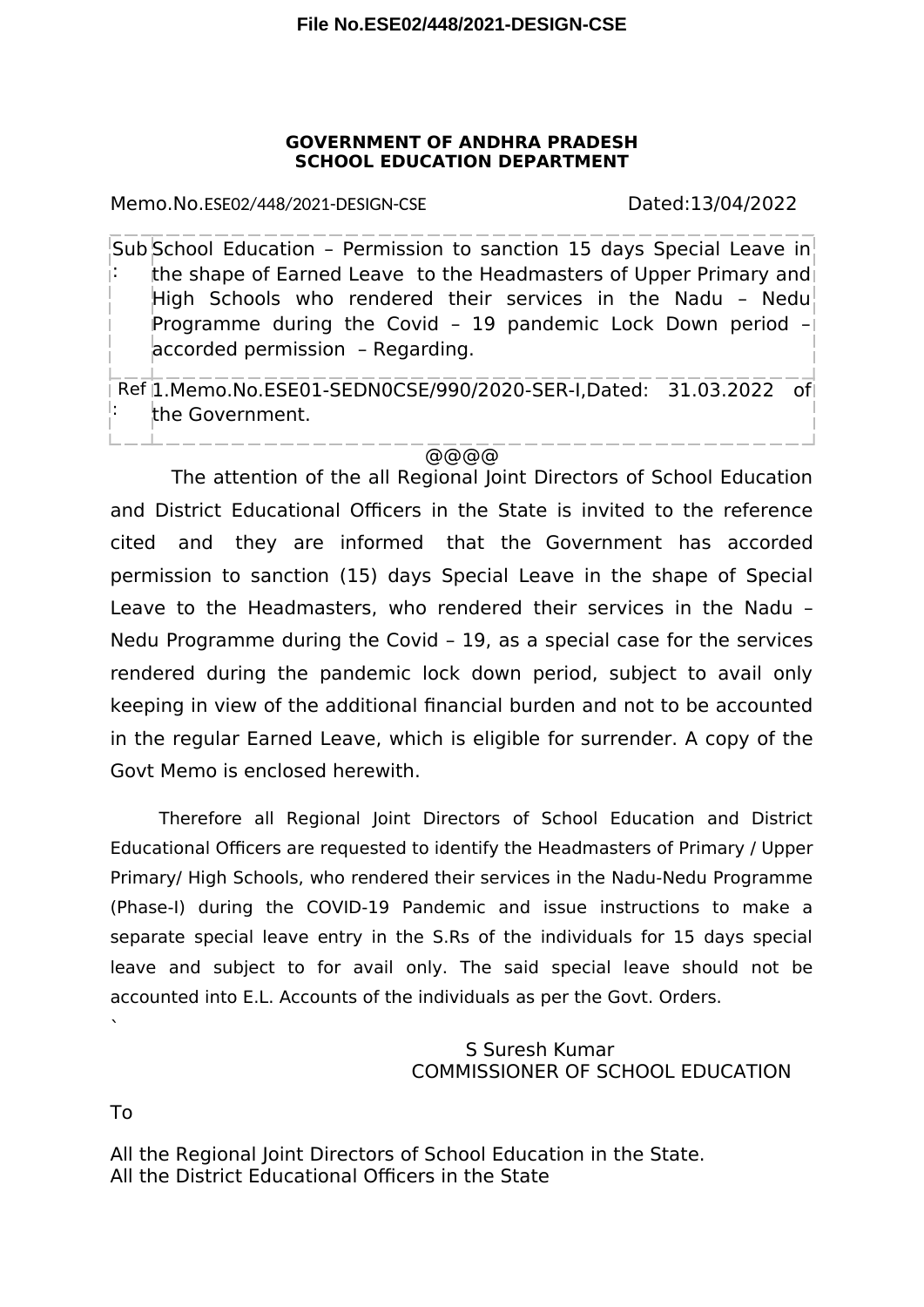## **GOVERNMENT OF ANDHRA PRADESH SCHOOL EDUCATION DEPARTMENT**

Memo.No.ESE02/448/2021-DESIGN-CSE Dated:13/04/2022

Sub School Education – Permission to sanction 15 days Special Leave in : the shape of Earned Leave to the Headmasters of Upper Primary and High Schools who rendered their services in the Nadu - Nedu Programme during the Covid – 19 pandemic Lock Down period – accorded permission – Regarding.

Ref 1.Memo.No.ESE01-SEDN0CSE/990/2020-SER-I,Dated: 31.03.2022 of : the Government.

## @@@@

The attention of the all Regional Joint Directors of School Education and District Educational Officers in the State is invited to the reference cited and they are informed that the Government has accorded permission to sanction (15) days Special Leave in the shape of Special Leave to the Headmasters, who rendered their services in the Nadu – Nedu Programme during the Covid – 19, as a special case for the services rendered during the pandemic lock down period, subject to avail only keeping in view of the additional fnancial burden and not to be accounted in the regular Earned Leave, which is eligible for surrender. A copy of the Govt Memo is enclosed herewith.

Therefore all Regional Joint Directors of School Education and District Educational Officers are requested to identify the Headmasters of Primary / Upper Primary/ High Schools, who rendered their services in the Nadu-Nedu Programme (Phase-I) during the COVID-19 Pandemic and issue instructions to make a separate special leave entry in the S.Rs of the individuals for 15 days special leave and subject to for avail only. The said special leave should not be accounted into E.L. Accounts of the individuals as per the Govt. Orders.

## S Suresh Kumar COMMISSIONER OF SCHOOL EDUCATION

To

`

All the Regional Joint Directors of School Education in the State. All the District Educational Officers in the State